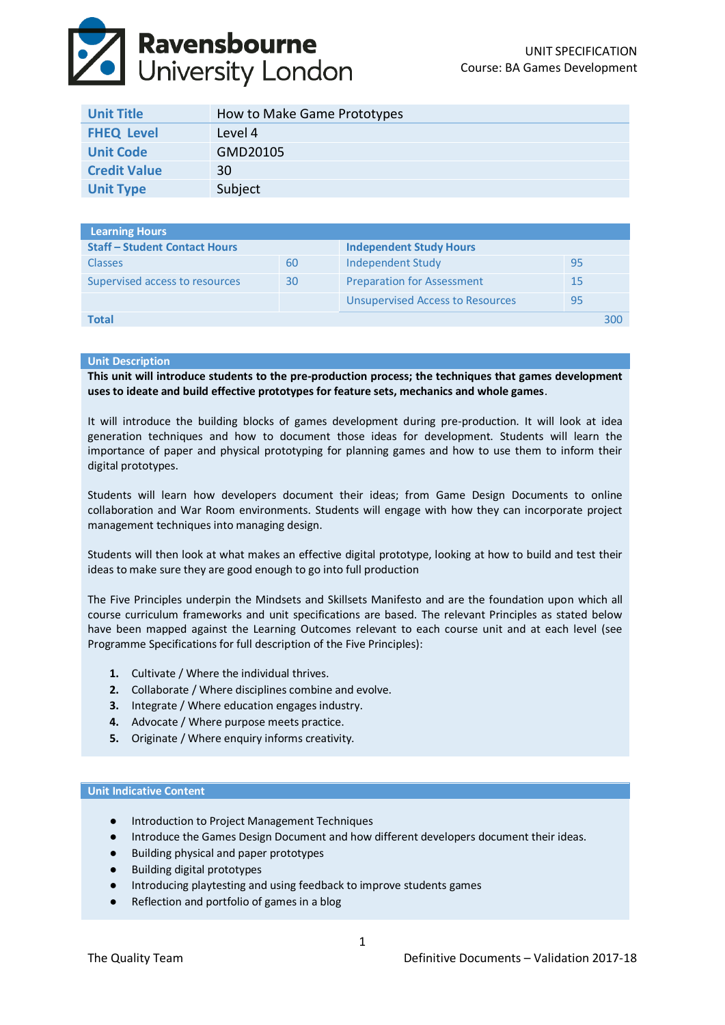# **Ravensbourne**<br>Duniversity London

| <b>Unit Title</b>   | How to Make Game Prototypes |
|---------------------|-----------------------------|
| <b>FHEQ Level</b>   | Level 4                     |
| <b>Unit Code</b>    | GMD20105                    |
| <b>Credit Value</b> | 30                          |
| <b>Unit Type</b>    | Subject                     |

| <b>Learning Hours</b>                |    |                                         |    |     |
|--------------------------------------|----|-----------------------------------------|----|-----|
| <b>Staff - Student Contact Hours</b> |    | <b>Independent Study Hours</b>          |    |     |
| <b>Classes</b>                       | 60 | <b>Independent Study</b>                | 95 |     |
| Supervised access to resources       | 30 | <b>Preparation for Assessment</b>       | 15 |     |
|                                      |    | <b>Unsupervised Access to Resources</b> | 95 |     |
| Total                                |    |                                         |    | 300 |

# **Unit Description**

**This unit will introduce students to the pre-production process; the techniques that games development uses to ideate and build effective prototypes for feature sets, mechanics and whole games**.

It will introduce the building blocks of games development during pre-production. It will look at idea generation techniques and how to document those ideas for development. Students will learn the importance of paper and physical prototyping for planning games and how to use them to inform their digital prototypes.

Students will learn how developers document their ideas; from Game Design Documents to online collaboration and War Room environments. Students will engage with how they can incorporate project management techniques into managing design.

Students will then look at what makes an effective digital prototype, looking at how to build and test their ideas to make sure they are good enough to go into full production

The Five Principles underpin the Mindsets and Skillsets Manifesto and are the foundation upon which all course curriculum frameworks and unit specifications are based. The relevant Principles as stated below have been mapped against the Learning Outcomes relevant to each course unit and at each level (see Programme Specifications for full description of the Five Principles):

- **1.** Cultivate / Where the individual thrives.
- **2.** Collaborate / Where disciplines combine and evolve.
- **3.** Integrate / Where education engages industry.
- **4.** Advocate / Where purpose meets practice.
- **5.** Originate / Where enquiry informs creativity.

# **Unit Indicative Content**

- Introduction to Project Management Techniques
- Introduce the Games Design Document and how different developers document their ideas.
- Building physical and paper prototypes
- Building digital prototypes
- Introducing playtesting and using feedback to improve students games
- Reflection and portfolio of games in a blog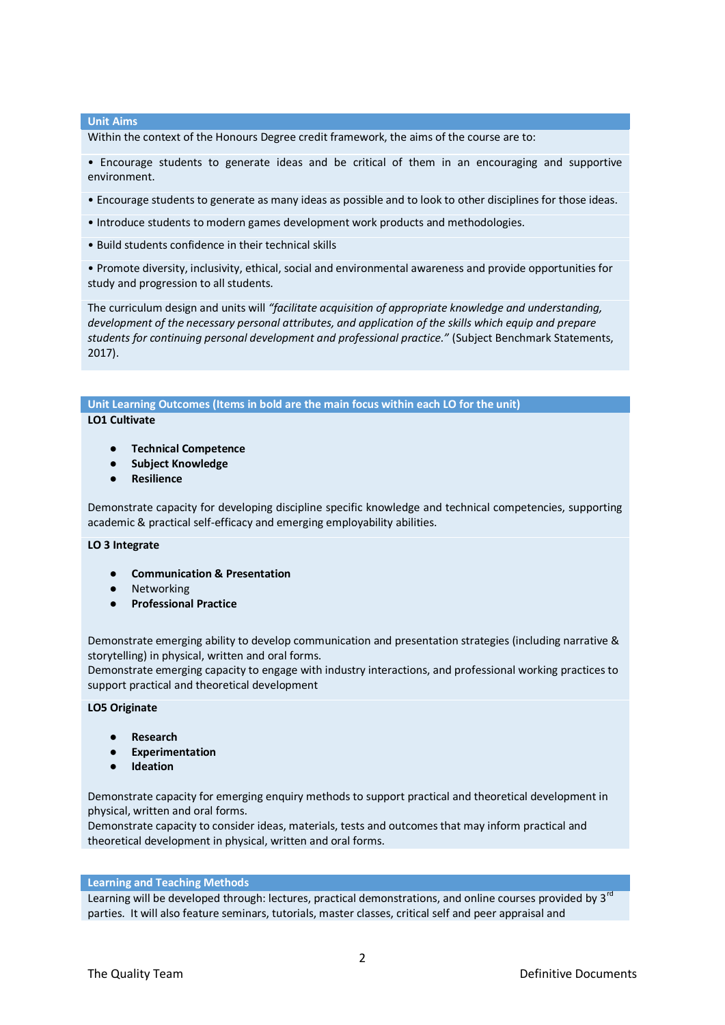# **Unit Aims**

Within the context of the Honours Degree credit framework, the aims of the course are to:

• Encourage students to generate ideas and be critical of them in an encouraging and supportive environment.

- Encourage students to generate as many ideas as possible and to look to other disciplines for those ideas.
- Introduce students to modern games development work products and methodologies.
- Build students confidence in their technical skills

• Promote diversity, inclusivity, ethical, social and environmental awareness and provide opportunities for study and progression to all students.

The curriculum design and units will *"facilitate acquisition of appropriate knowledge and understanding, development of the necessary personal attributes, and application of the skills which equip and prepare students for continuing personal development and professional practice."* (Subject Benchmark Statements, 2017).

**Unit Learning Outcomes (Items in bold are the main focus within each LO for the unit) LO1 Cultivate**

- **Technical Competence**
- **Subject Knowledge**
- **Resilience**

Demonstrate capacity for developing discipline specific knowledge and technical competencies, supporting academic & practical self-efficacy and emerging employability abilities.

# **LO 3 Integrate**

- **Communication & Presentation**
- Networking
- **Professional Practice**

Demonstrate emerging ability to develop communication and presentation strategies (including narrative & storytelling) in physical, written and oral forms.

Demonstrate emerging capacity to engage with industry interactions, and professional working practices to support practical and theoretical development

# **LO5 Originate**

- **Research**
- **Experimentation**
- **Ideation**

Demonstrate capacity for emerging enquiry methods to support practical and theoretical development in physical, written and oral forms.

Demonstrate capacity to consider ideas, materials, tests and outcomes that may inform practical and theoretical development in physical, written and oral forms.

# **Learning and Teaching Methods**

Learning will be developed through: lectures, practical demonstrations, and online courses provided by 3<sup>rd</sup> parties. It will also feature seminars, tutorials, master classes, critical self and peer appraisal and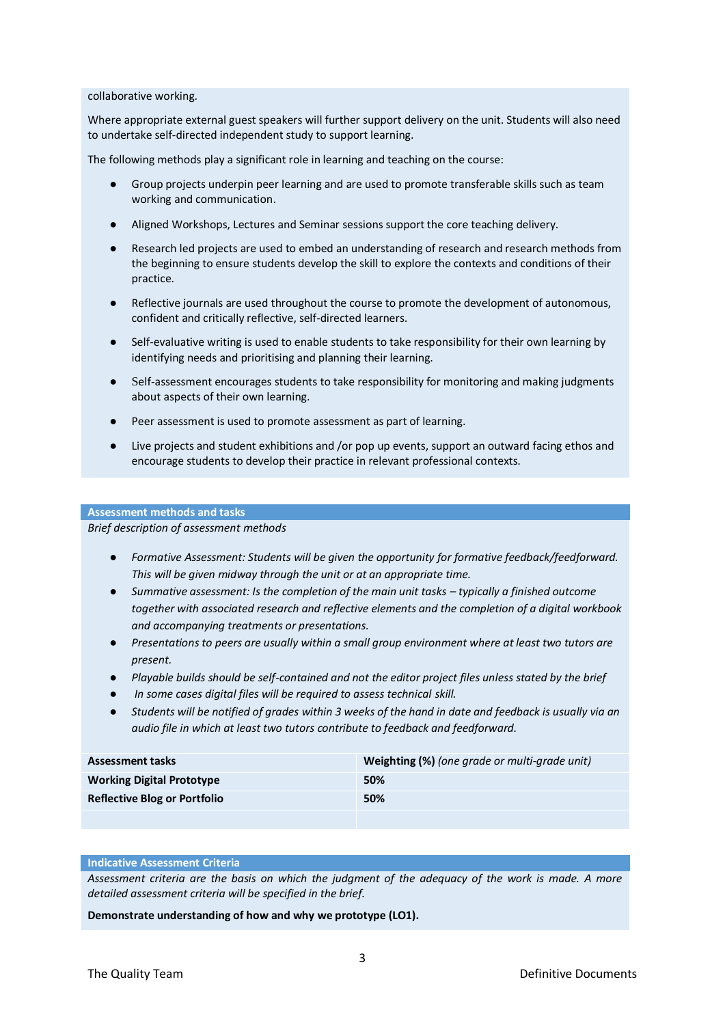# collaborative working.

Where appropriate external guest speakers will further support delivery on the unit. Students will also need to undertake self‐directed independent study to support learning.

The following methods play a significant role in learning and teaching on the course:

- Group projects underpin peer learning and are used to promote transferable skills such as team working and communication.
- Aligned Workshops, Lectures and Seminar sessions support the core teaching delivery.
- Research led projects are used to embed an understanding of research and research methods from the beginning to ensure students develop the skill to explore the contexts and conditions of their practice.
- Reflective journals are used throughout the course to promote the development of autonomous, confident and critically reflective, self‐directed learners.
- Self-evaluative writing is used to enable students to take responsibility for their own learning by identifying needs and prioritising and planning their learning.
- Self-assessment encourages students to take responsibility for monitoring and making judgments about aspects of their own learning.
- Peer assessment is used to promote assessment as part of learning.
- Live projects and student exhibitions and /or pop up events, support an outward facing ethos and encourage students to develop their practice in relevant professional contexts.

# **Assessment methods and tasks**

*Brief description of assessment methods*

- *Formative Assessment: Students will be given the opportunity for formative feedback/feedforward. This will be given midway through the unit or at an appropriate time.*
- Summative assessment: Is the completion of the main unit tasks typically a finished outcome *together with associated research and reflective elements and the completion of a digital workbook and accompanying treatments or presentations.*
- *Presentations to peers are usually within a small group environment where at least two tutors are present.*
- *Playable builds should be self-contained and not the editor project files unless stated by the brief*
- *In some cases digital files will be required to assess technical skill.*
- *Students will be notified of grades within 3 weeks of the hand in date and feedback is usually via an audio file in which at least two tutors contribute to feedback and feedforward.*

| <b>Assessment tasks</b>             | Weighting (%) (one grade or multi-grade unit) |
|-------------------------------------|-----------------------------------------------|
| <b>Working Digital Prototype</b>    | 50%                                           |
| <b>Reflective Blog or Portfolio</b> | 50%                                           |
|                                     |                                               |

# **Indicative Assessment Criteria**

*Assessment criteria are the basis on which the judgment of the adequacy of the work is made. A more detailed assessment criteria will be specified in the brief.* 

**Demonstrate understanding of how and why we prototype (LO1).**